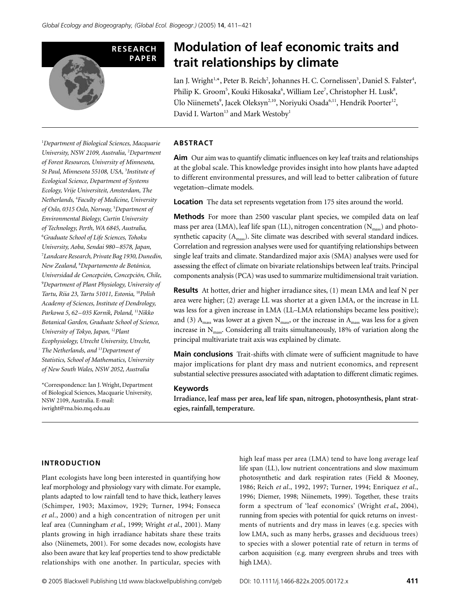

# **Modulation of leaf economic traits and trait relationships by climate**

Ian J. Wright<sup>1,\*</sup>, Peter B. Reich<sup>2</sup>, Johannes H. C. Cornelissen<sup>3</sup>, Daniel S. Falster<sup>4</sup>, Philip K. Groom<sup>5</sup>, Kouki Hikosaka<sup>6</sup>, William Lee<sup>7</sup>, Christopher H. Lusk<sup>8</sup>, Ülo Niinemets<sup>9</sup>, Jacek Oleksyn<sup>2,10</sup>, Noriyuki Osada<sup>6,11</sup>, Hendrik Poorter<sup>12</sup>, David I. Warton<sup>13</sup> and Mark Westoby<sup>1</sup>

1 *Department of Biological Sciences, Macquarie University, NSW 2109, Australia,* <sup>2</sup> *Department of Forest Resources, University of Minnesota, St Paul, Minnesota 55108, USA,* <sup>3</sup> *Institute of Ecological Science, Department of Systems Ecology, Vrije Universiteit, Amsterdam, The Netherlands,* <sup>4</sup> *Faculty of Medicine, University of Oslo, 0315 Oslo, Norway,* <sup>5</sup> *Department of Environmental Biology, Curtin University of Technology, Perth, WA 6845, Australia,*  6 *Graduate School of Life Sciences, Tohoku University, Aoba, Sendai 980–8578, Japan,*  7 *Landcare Research, Private Bag 1930, Dunedin, New Zealand,* <sup>8</sup> *Departamento de Botánica, Universidad de Concepción, Concepción, Chile,*  9 *Department of Plant Physiology, University of Tartu, Riia 23, Tartu 51011, Estonia,* <sup>10</sup>*Polish Academy of Sciences, Institute of Dendrology, Parkowa 5, 62–035 Kornik, Poland,* <sup>11</sup>*Nikko Botanical Garden, Graduate School of Science, University of Tokyo, Japan,* <sup>12</sup>*Plant Ecophysiology, Utrecht University, Utrecht, The Netherlands, and* <sup>13</sup>*Department of Statistics, School of Mathematics, University of New South Wales, NSW 2052, Australia*

\*Correspondence: Ian J. Wright, Department of Biological Sciences, Macquarie University, NSW 2109, Australia. E-mail: iwright@rna.bio.mq.edu.au

## **ABSTRACT**

**Aim** Our aim was to quantify climatic influences on key leaf traits and relationships at the global scale. This knowledge provides insight into how plants have adapted to different environmental pressures, and will lead to better calibration of future vegetation–climate models.

**Location** The data set represents vegetation from 175 sites around the world.

**Methods** For more than 2500 vascular plant species, we compiled data on leaf mass per area (LMA), leaf life span (LL), nitrogen concentration ( $N_{mass}$ ) and photosynthetic capacity  $(A<sub>mass</sub>)$ . Site climate was described with several standard indices. Correlation and regression analyses were used for quantifying relationships between single leaf traits and climate. Standardized major axis (SMA) analyses were used for assessing the effect of climate on bivariate relationships between leaf traits. Principal components analysis (PCA) was used to summarize multidimensional trait variation.

**Results** At hotter, drier and higher irradiance sites, (1) mean LMA and leaf N per area were higher; (2) average LL was shorter at a given LMA, or the increase in LL was less for a given increase in LMA (LL–LMA relationships became less positive); and (3)  $A<sub>mass</sub>$  was lower at a given  $N<sub>mass</sub>$ , or the increase in  $A<sub>mass</sub>$  was less for a given increase in N<sub>mass</sub>. Considering all traits simultaneously, 18% of variation along the principal multivariate trait axis was explained by climate.

**Main conclusions** Trait-shifts with climate were of sufficient magnitude to have major implications for plant dry mass and nutrient economics, and represent substantial selective pressures associated with adaptation to different climatic regimes.

## **Keywords**

**Irradiance, leaf mass per area, leaf life span, nitrogen, photosynthesis, plant strategies, rainfall, temperature.**

# **INTRODUCTION**

Plant ecologists have long been interested in quantifying how leaf morphology and physiology vary with climate. For example, plants adapted to low rainfall tend to have thick, leathery leaves (Schimper, 1903; Maximov, 1929; Turner, 1994; Fonseca *et al*., 2000) and a high concentration of nitrogen per unit leaf area (Cunningham *et al*., 1999; Wright *et al*., 2001). Many plants growing in high irradiance habitats share these traits also (Niinemets, 2001). For some decades now, ecologists have also been aware that key leaf properties tend to show predictable relationships with one another. In particular, species with

high leaf mass per area (LMA) tend to have long average leaf life span (LL), low nutrient concentrations and slow maximum photosynthetic and dark respiration rates (Field & Mooney, 1986; Reich *et al*., 1992, 1997; Turner, 1994; Enriquez *et al*., 1996; Diemer, 1998; Niinemets, 1999). Together, these traits form a spectrum of 'leaf economics' (Wright *et al*., 2004), running from species with potential for quick returns on investments of nutrients and dry mass in leaves (e.g. species with low LMA, such as many herbs, grasses and deciduous trees) to species with a slower potential rate of return in terms of carbon acquisition (e.g. many evergreen shrubs and trees with high LMA).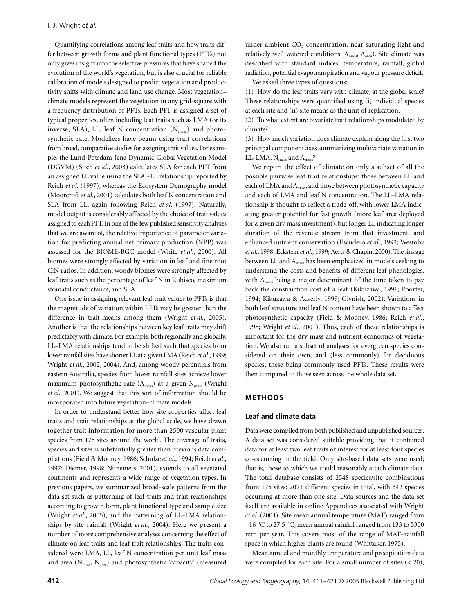Quantifying correlations among leaf traits and how traits differ between growth forms and plant functional types (PFTs) not only gives insight into the selective pressures that have shaped the evolution of the world's vegetation, but is also crucial for reliable calibration of models designed to predict vegetation and productivity shifts with climate and land use change. Most vegetation– climate models represent the vegetation in any grid-square with a frequency distribution of PFTs. Each PFT is assigned a set of typical properties, often including leaf traits such as LMA (or its inverse, SLA), LL, leaf N concentration  $(N_{\rm{mass}})$  and photosynthetic rate. Modellers have begun using trait correlations from broad, comparative studies for assigning trait values. For example, the Lund-Potsdam-Jena Dynamic Global Vegetation Model (DGVM) (Sitch *et al*., 2003) calculates SLA for each PFT from an assigned LL value using the SLA –LL relationship reported by Reich *et al*. (1997), whereas the Ecosystem Demography model (Moorcroft *et al*., 2001) calculates both leaf N concentration and SLA from LL, again following Reich *et al*. (1997). Naturally, model output is considerably affected by the choice of trait values assigned to each PFT. In one of the few published sensitivity analyses that we are aware of, the relative importance of parameter variation for predicting annual net primary production (NPP) was assessed for the BIOME-BGC model (White *et al*., 2000). All biomes were strongly affected by variation in leaf and fine root C:N ratios. In addition, woody biomes were strongly affected by leaf traits such as the percentage of leaf N in Rubisco, maximum stomatal conductance, and SLA.

One issue in assigning relevant leaf trait values to PFTs is that the magnitude of variation within PFTs may be greater than the difference in trait-means among them (Wright *et al*., 2005). Another is that the relationships between key leaf traits may shift predictably with climate. For example, both regionally and globally, LL–LMA relationships tend to be shifted such that species from lower rainfall sites have shorter LL at a given LMA (Reich *et al*., 1999; Wright *et al*., 2002, 2004). And, among woody perennials from eastern Australia, species from lower rainfall sites achieve lower maximum photosynthetic rate  $(A<sub>mass</sub>)$  at a given  $N<sub>mass</sub>$  (Wright *et al*., 2001). We suggest that this sort of information should be incorporated into future vegetation–climate models.

In order to understand better how site properties affect leaf traits and trait relationships at the global scale, we have drawn together trait information for more than 2500 vascular plant species from 175 sites around the world. The coverage of traits, species and sites is substantially greater than previous data compilations (Field & Mooney, 1986; Schulze *et al*., 1994; Reich *et al*., 1997; Diemer, 1998; Niinemets, 2001), extends to all vegetated continents and represents a wide range of vegetation types. In previous papers, we summarized broad-scale patterns from the data set such as patterning of leaf traits and trait relationships according to growth form, plant functional type and sample size (Wright *et al*., 2005), and the patterning of LL–LMA relationships by site rainfall (Wright *et al*., 2004). Here we present a number of more comprehensive analyses concerning the effect of climate on leaf traits and leaf trait relationships. The traits considered were LMA, LL, leaf N concentration per unit leaf mass and area  $(N_{mass}, N_{area})$  and photosynthetic 'capacity' (measured under ambient  $CO<sub>2</sub>$  concentration, near-saturating light and relatively well watered conditions;  $A_{mass}$ ,  $A_{area}$ ). Site climate was described with standard indices: temperature, rainfall, global radiation, potential evapotranspiration and vapour pressure deficit. We asked three types of questions:

(1) How do the leaf traits vary with climate, at the global scale? These relationships were quantified using (i) individual species at each site and (ii) site means as the unit of replication.

(2) To what extent are bivariate trait relationships modulated by climate?

(3) How much variation does climate explain along the first two principal component axes summarizing multivariate variation in LL, LMA,  $N_{mass}$  and  $A_{mass}$ ?

We report the effect of climate on only a subset of all the possible pairwise leaf trait relationships: those between LL and each of LMA and  $A<sub>mass</sub>$  and those between photosynthetic capacity and each of LMA and leaf N concentration. The LL–LMA relationship is thought to reflect a trade-off, with lower LMA indicating greater potential for fast growth (more leaf area deployed for a given dry mass investment), but longer LL indicating longer duration of the revenue stream from that investment, and enhanced nutrient conservation (Escudero *et al*., 1992; Westoby *et al*., 1998; Eckstein *et al*., 1999; Aerts & Chapin, 2000). The linkage between LL and  $A<sub>mass</sub>$  has been emphasized in models seeking to understand the costs and benefits of different leaf phenologies, with  $A<sub>mass</sub>$  being a major determinant of the time taken to pay back the construction cost of a leaf (Kikuzawa, 1991; Poorter, 1994; Kikuzawa & Ackerly, 1999; Givnish, 2002). Variations in both leaf structure and leaf N content have been shown to affect photosynthetic capacity (Field & Mooney, 1986; Reich *et al*., 1998; Wright *et al*., 2001). Thus, each of these relationships is important for the dry mass and nutrient economics of vegetation. We also ran a subset of analyses for evergreen species considered on their own, and (less commonly) for deciduous species, these being commonly used PFTs. These results were then compared to those seen across the whole data set.

## **METHODS**

## **Leaf and climate data**

Data were compiled from both published and unpublished sources. A data set was considered suitable providing that it contained data for at least two leaf traits of interest for at least four species co-occurring in the field. Only site-based data sets were used; that is, those to which we could reasonably attach climate data. The total database consists of 2548 species/site combinations from 175 sites: 2021 different species in total, with 342 species occurring at more than one site. Data sources and the data set itself are available in online Appendices associated with Wright *et al*. (2004). Site mean annual temperature (MAT) ranged from −16 °C to 27.5 °C; mean annual rainfall ranged from 133 to 5300 mm per year. This covers most of the range of MAT–rainfall space in which higher plants are found (Whittaker, 1975).

Mean annual and monthly temperature and precipitation data were compiled for each site. For a small number of sites (< 20),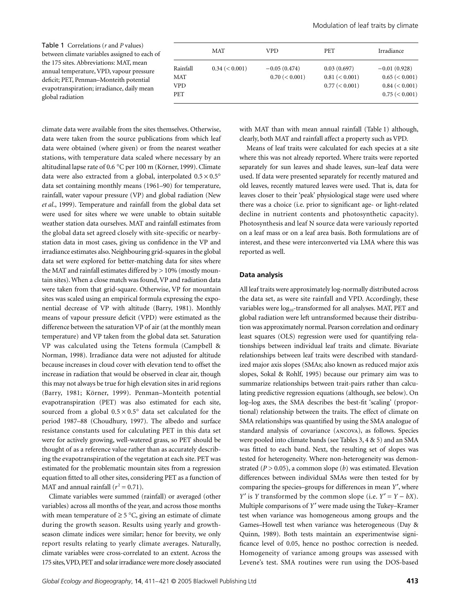| <b>Table 1</b> Correlations ( $r$ and $P$ values)<br>between climate variables assigned to each of                                                                                               |                                | <b>MAT</b>        | <b>VPD</b>                          | <b>PET</b>                                         | Irradiance                                                                      |
|--------------------------------------------------------------------------------------------------------------------------------------------------------------------------------------------------|--------------------------------|-------------------|-------------------------------------|----------------------------------------------------|---------------------------------------------------------------------------------|
| the 175 sites. Abbreviations: MAT, mean<br>annual temperature, VPD, vapour pressure<br>deficit; PET, Penman-Monteith potential<br>evapotranspiration; irradiance, daily mean<br>global radiation | Rainfall<br>MAT<br>VPD.<br>PET | $0.34 \leq 0.001$ | $-0.05(0.474)$<br>$0.70 \leq 0.001$ | 0.03(0.697)<br>0.81 (< 0.001)<br>$0.77 \leq 0.001$ | $-0.01(0.928)$<br>$0.65 \, (< 0.001)$<br>$0.84 \leq 0.001$<br>$0.75 \leq 0.001$ |

climate data were available from the sites themselves. Otherwise, data were taken from the source publications from which leaf data were obtained (where given) or from the nearest weather stations, with temperature data scaled where necessary by an altitudinal lapse rate of 0.6 °C per 100 m (Körner, 1999). Climate data were also extracted from a global, interpolated  $0.5 \times 0.5^{\circ}$ data set containing monthly means (1961–90) for temperature, rainfall, water vapour pressure (VP) and global radiation (New *et al*., 1999). Temperature and rainfall from the global data set were used for sites where we were unable to obtain suitable weather station data ourselves. MAT and rainfall estimates from the global data set agreed closely with site-specific or nearbystation data in most cases, giving us confidence in the VP and irradiance estimates also. Neighbouring grid-squares in the global data set were explored for better-matching data for sites where the MAT and rainfall estimates differed by  $> 10\%$  (mostly mountain sites). When a close match was found, VP and radiation data were taken from that grid-square. Otherwise, VP for mountain sites was scaled using an empirical formula expressing the exponential decrease of VP with altitude (Barry, 1981). Monthly means of vapour pressure deficit (VPD) were estimated as the difference between the saturation VP of air (at the monthly mean temperature) and VP taken from the global data set. Saturation VP was calculated using the Tetens formula (Campbell & Norman, 1998). Irradiance data were not adjusted for altitude because increases in cloud cover with elevation tend to offset the increase in radiation that would be observed in clear air, though this may not always be true for high elevation sites in arid regions (Barry, 1981; Körner, 1999). Penman–Monteith potential evapotranspiration (PET) was also estimated for each site, sourced from a global  $0.5 \times 0.5^{\circ}$  data set calculated for the period 1987–88 (Choudhury, 1997). The albedo and surface resistance constants used for calculating PET in this data set were for actively growing, well-watered grass, so PET should be thought of as a reference value rather than as accurately describing the evapotranspiration of the vegetation at each site. PET was estimated for the problematic mountain sites from a regression equation fitted to all other sites, considering PET as a function of MAT and annual rainfall  $(r^2 = 0.71)$ .

Climate variables were summed (rainfall) or averaged (other variables) across all months of the year, and across those months with mean temperature of  $\geq$  5 °C, giving an estimate of climate during the growth season. Results using yearly and growthseason climate indices were similar; hence for brevity, we only report results relating to yearly climate averages. Naturally, climate variables were cross-correlated to an extent. Across the 175 sites, VPD, PET and solar irradiance were more closely associated

with MAT than with mean annual rainfall (Table 1) although, clearly, both MAT and rainfall affect a property such as VPD.

Means of leaf traits were calculated for each species at a site where this was not already reported. Where traits were reported separately for sun leaves and shade leaves, sun–leaf data were used. If data were presented separately for recently matured and old leaves, recently matured leaves were used. That is, data for leaves closer to their 'peak' physiological stage were used where there was a choice (i.e. prior to significant age- or light-related decline in nutrient contents and photosynthetic capacity). Photosynthesis and leaf N source data were variously reported on a leaf mass or on a leaf area basis. Both formulations are of interest, and these were interconverted via LMA where this was reported as well.

#### **Data analysis**

All leaf traits were approximately log-normally distributed across the data set, as were site rainfall and VPD. Accordingly, these variables were log<sub>10</sub>-transformed for all analyses. MAT, PET and global radiation were left untransformed because their distribution was approximately normal. Pearson correlation and ordinary least squares (OLS) regression were used for quantifying relationships between individual leaf traits and climate. Bivariate relationships between leaf traits were described with standardized major axis slopes (SMAs; also known as reduced major axis slopes, Sokal & Rohlf, 1995) because our primary aim was to summarize relationships between trait-pairs rather than calculating predictive regression equations (although, see below). On log–log axes, the SMA describes the best-fit 'scaling' (proportional) relationship between the traits. The effect of climate on SMA relationships was quantified by using the SMA analogue of standard analysis of covariance (ANCOVA), as follows. Species were pooled into climate bands (see Tables 3, 4 & 5) and an SMA was fitted to each band. Next, the resulting set of slopes was tested for heterogeneity. Where non-heterogeneity was demonstrated (*P* > 0.05), a common slope (*b*) was estimated. Elevation differences between individual SMAs were then tested for by comparing the species–groups for differences in mean *Y*′, where *Y*′ is *Y* transformed by the common slope (i.e.  $Y' = Y - bX$ ). Multiple comparisons of *Y*′ were made using the Tukey–Kramer test when variance was homogeneous among groups and the Games–Howell test when variance was heterogeneous (Day & Quinn, 1989). Both tests maintain an experimentwise significance level of 0.05, hence no posthoc correction is needed. Homogeneity of variance among groups was assessed with Levene's test. SMA routines were run using the DOS-based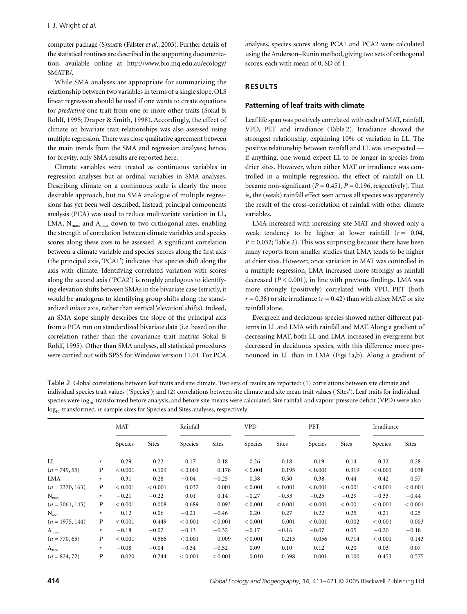computer package (S) MATR (Falster *et al.*, 2003). Further details of the statistical routines are described in the supporting documentation, available online at <http://www.bio.mq.edu.au/ecology/> SMATR/.

While SMA analyses are appropriate for summarizing the relationship between two variables in terms of a single slope, OLS linear regression should be used if one wants to create equations for *predicting* one trait from one or more other traits (Sokal & Rohlf, 1995; Draper & Smith, 1998). Accordingly, the effect of climate on bivariate trait relationships was also assessed using multiple regression. There was close qualitative agreement between the main trends from the SMA and regression analyses; hence, for brevity, only SMA results are reported here.

Climate variables were treated as continuous variables in regression analyses but as ordinal variables in SMA analyses. Describing climate on a continuous scale is clearly the more desirable approach, but no SMA analogue of multiple regressions has yet been well described. Instead, principal components analysis (PCA) was used to reduce multivariate variation in LL, LMA,  $N_{mass}$  and  $A_{mass}$  down to two orthogonal axes, enabling the strength of correlation between climate variables and species scores along these axes to be assessed. A significant correlation between a climate variable and species' scores along the first axis (the principal axis, 'PCA1') indicates that species shift along the axis with climate. Identifying correlated variation with scores along the second axis ('PCA2') is roughly analogous to identifying elevation shifts between SMAs in the bivariate case (strictly, it would be analogous to identifying group shifts along the standardized *minor* axis, rather than vertical 'elevation' shifts). Indeed, an SMA slope simply describes the slope of the principal axis from a PCA run on standardized bivariate data (i.e. based on the correlation rather than the covariance trait matrix; Sokal & Rohlf, 1995). Other than SMA analyses, all statistical procedures were carried out with SPSS for Windows version 11.01. For PCA analyses, species scores along PCA1 and PCA2 were calculated using the Anderson–Runin method, giving two sets of orthogonal scores, each with mean of 0, SD of 1.

# **RESULTS**

## **Patterning of leaf traits with climate**

Leaf life span was positively correlated with each of MAT, rainfall, VPD, PET and irradiance (Table 2). Irradiance showed the strongest relationship, explaining 10% of variation in LL. The positive relationship between rainfall and LL was unexpected if anything, one would expect LL to be longer in species from drier sites. However, when either MAT or irradiance was controlled in a multiple regression, the effect of rainfall on LL became non-significant  $(P = 0.451, P = 0.196$ , respectively). That is, the (weak) rainfall effect seen across all species was apparently the result of the cross-correlation of rainfall with other climate variables.

LMA increased with increasing site MAT and showed only a weak tendency to be higher at lower rainfall  $(r = -0.04,$  $P = 0.032$ ; Table 2). This was surprising because there have been many reports from smaller studies that LMA tends to be higher at drier sites. However, once variation in MAT was controlled in a multiple regression, LMA increased more strongly as rainfall decreased (*P <* 0.001), in line with previous findings. LMA was more strongly (positively) correlated with VPD, PET (both  $r = 0.38$ ) or site irradiance ( $r = 0.42$ ) than with either MAT or site rainfall alone.

Evergreen and deciduous species showed rather different patterns in LL and LMA with rainfall and MAT. Along a gradient of decreasing MAT, both LL and LMA increased in evergreens but decreased in deciduous species, with this difference more pronounced in LL than in LMA (Figs 1a,b). Along a gradient of

Table 2 Global correlations between leaf traits and site climate. Two sets of results are reported: (1) correlations between site climate and individual species trait values ('Species'); and (2) correlations between site climate and site mean trait values ('Sites'). Leaf traits for individual species were  $log<sub>10</sub>$ -transformed before analysis, and before site means were calculated. Site rainfall and vapour pressure deficit (VPD) were also log10-transformed. *n*: sample sizes for Species and Sites analyses, respectively

|                   |                  | MAT          |              | Rainfall       |                | <b>VPD</b>     |              | PET         |              | Irradiance   |              |
|-------------------|------------------|--------------|--------------|----------------|----------------|----------------|--------------|-------------|--------------|--------------|--------------|
|                   |                  | Species      | <b>Sites</b> | Species        | <b>Sites</b>   | <b>Species</b> | <b>Sites</b> | Species     | <b>Sites</b> | Species      | <b>Sites</b> |
| LL                | r                | 0.29         | 0.22         | 0.17           | 0.18           | 0.26           | 0.18         | 0.19        | 0.14         | 0.32         | 0.28         |
| $(n = 749, 55)$   | $\boldsymbol{P}$ | ${}_{0.001}$ | 0.109        | < 0.001        | 0.178          | ${}< 0.001$    | 0.195        | ${}< 0.001$ | 0.319        | ${}< 0.001$  | 0.038        |
| <b>LMA</b>        | r                | 0.31         | 0.28         | $-0.04$        | $-0.25$        | 0.38           | 0.50         | 0.38        | 0.44         | 0.42         | 0.57         |
| $(n = 2370, 163)$ | $\boldsymbol{P}$ | ${}< 0.001$  | < 0.001      | 0.032          | 0.001          | < 0.001        | ${}< 0.001$  | < 0.001     | < 0.001      | < 0.001      | ${}< 0.001$  |
| $N_{\rm mass}$    | r                | $-0.21$      | $-0.22$      | 0.01           | 0.14           | $-0.27$        | $-0.33$      | $-0.25$     | $-0.29$      | $-0.33$      | $-0.44$      |
| $(n = 2061, 145)$ | $\boldsymbol{P}$ | ${}< 0.001$  | 0.008        | 0.689          | 0.093          | ${}< 0.001$    | ${}< 0.001$  | ${}< 0.001$ | ${}< 0.001$  | ${}_{0.001}$ | ${}< 0.001$  |
| $N_{area}$        | r                | 0.12         | 0.06         | $-0.21$        | $-0.46$        | 0.20           | 0.27         | 0.22        | 0.25         | 0.21         | 0.25         |
| $(n = 1975, 144)$ | $\boldsymbol{P}$ | ${}< 0.001$  | 0.449        | ${}_{< 0.001}$ | < 0.001        | < 0.001        | 0.001        | < 0.001     | 0.002        | < 0.001      | 0.003        |
| A <sub>mass</sub> | r                | $-0.18$      | $-0.07$      | $-0.13$        | $-0.32$        | $-0.17$        | $-0.16$      | $-0.07$     | 0.05         | $-0.20$      | $-0.18$      |
| $(n = 770, 65)$   | $\boldsymbol{P}$ | ${}< 0.001$  | 0.566        | ${}_{< 0.001}$ | 0.009          | ${}< 0.001$    | 0.213        | 0.056       | 0.714        | < 0.001      | 0.143        |
| A <sub>area</sub> | r                | $-0.08$      | $-0.04$      | $-0.34$        | $-0.52$        | 0.09           | 0.10         | 0.12        | 0.20         | 0.03         | 0.07         |
| $(n = 824, 72)$   | $\boldsymbol{P}$ | 0.020        | 0.744        | < 0.001        | ${}_{< 0.001}$ | 0.010          | 0.398        | 0.001       | 0.100        | 0.453        | 0.575        |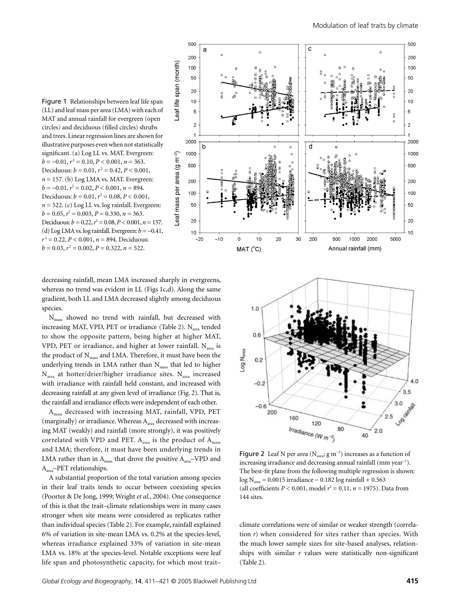

500 500 a  $\mathbf c$ 200 200 Leaf life span (month) 100 100 50 50 20 20  $10$  $10$ 5 5  $\overline{2}$  $\overline{2}$ **2000** 2000  $\mathsf{b}$ d 1000 1000 eaf mass per area (g m<sup>-2</sup>) 500 500 200 200 100 100 50 50 20 20  $10$  $10$  $-10$  $\mathbf 0$  $10$ 20 30 200 500 1000 2000 5000  $-20$ Annual rainfall (mm)  $MAT (°C)$ 

decreasing rainfall, mean LMA increased sharply in evergreens, whereas no trend was evident in LL (Figs 1c,d). Along the same gradient, both LL and LMA decreased slightly among deciduous species.

N<sub>mass</sub> showed no trend with rainfall, but decreased with increasing MAT, VPD, PET or irradiance (Table 2).  $N_{area}$  tended to show the opposite pattern, being higher at higher MAT, VPD, PET or irradiance, and higher at lower rainfall.  $N_{area}$  is the product of  $N_{\rm mass}$  and LMA. Therefore, it must have been the underlying trends in LMA rather than  $N_{\text{mass}}$  that led to higher  $N_{area}$  at hotter/drier/higher irradiance sites.  $N_{area}$  increased with irradiance with rainfall held constant, and increased with decreasing rainfall at any given level of irradiance (Fig. 2). That is, the rainfall and irradiance effects were independent of each other.

Amass decreased with increasing MAT, rainfall, VPD, PET (marginally) or irradiance. Whereas  $\mathbf{A}_{\text{area}}$  decreased with increasing MAT (weakly) and rainfall (more strongly), it was positively correlated with VPD and PET.  $A_{area}$  is the product of  $A_{mass}$ and LMA; therefore, it must have been underlying trends in LMA rather than in  $A<sub>mass</sub>$  that drove the positive  $A<sub>area</sub>$ -VPD and Aarea–PET relationships.

A substantial proportion of the total variation among species in their leaf traits tends to occur between coexisting species (Poorter & De Jong, 1999; Wright *et al*., 2004). One consequence of this is that the trait–climate relationships were in many cases stronger when site means were considered as replicates rather than individual species (Table 2). For example, rainfall explained 6% of variation in site-mean LMA vs. 0.2% at the species-level, whereas irradiance explained 33% of variation in site-mean LMA vs. 18% at the species-level. Notable exceptions were leaf life span and photosynthetic capacity, for which most trait–



Figure 2 Leaf N per area ( $N_{area}$ ;  $g$  m<sup>-2</sup>) increases as a function of increasing irradiance and decreasing annual rainfall (mm year<sup>-1</sup>). The best-fit plane from the following multiple regression is shown: log Narea = 0.0015 irradiance − 0.182 log rainfall + 0.563 (all coefficients  $P < 0.001$ , model  $r^2 = 0.11$ ,  $n = 1975$ ). Data from 144 sites.

climate correlations were of similar or weaker strength (correlation *r*) when considered for sites rather than species. With the much lower sample sizes for site-based analyses, relationships with similar *r* values were statistically non-significant (Table 2).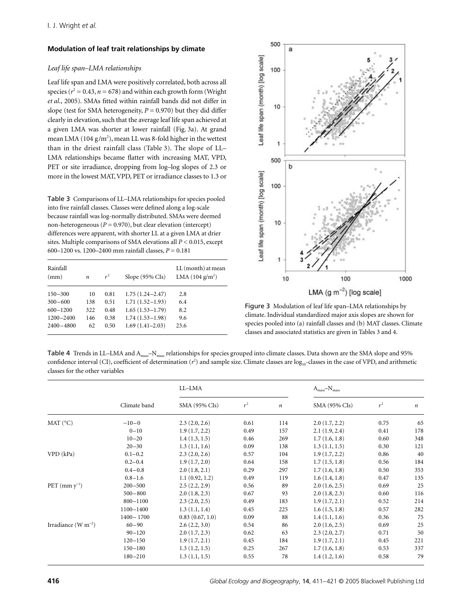# **Modulation of leaf trait relationships by climate**

# *Leaf life span–LMA relationships*

Leaf life span and LMA were positively correlated, both across all species ( $r^2 = 0.43$ ,  $n = 678$ ) and within each growth form (Wright *et al*., 2005). SMAs fitted within rainfall bands did not differ in slope (test for SMA heterogeneity,  $P = 0.970$ ) but they did differ clearly in elevation, such that the average leaf life span achieved at a given LMA was shorter at lower rainfall (Fig. 3a). At grand mean LMA (104  $g/m<sup>2</sup>$ ), mean LL was 8-fold higher in the wettest than in the driest rainfall class (Table 3). The slope of LL– LMA relationships became flatter with increasing MAT, VPD, PET or site irradiance, dropping from log–log slopes of 2.3 or more in the lowest MAT, VPD, PET or irradiance classes to 1.3 or

Table 3 Comparisons of LL–LMA relationships for species pooled into five rainfall classes. Classes were defined along a log-scale because rainfall was log-normally distributed. SMAs were deemed non-heterogeneous (*P =* 0.970), but clear elevation (intercept) differences were apparent, with shorter LL at a given LMA at drier sites. Multiple comparisons of SMA elevations all *P* < 0.015, except 600–1200 vs. 1200–2400 mm rainfall classes, *P* = 0.181

| Rainfall<br>(mm) | $\boldsymbol{n}$ | $r^2$ | Slope $(95\% \text{ Cls})$ | $LL$ (month) at mean<br>LMA $(104 \text{ g/m}^2)$ |
|------------------|------------------|-------|----------------------------|---------------------------------------------------|
| $150 - 300$      | 10               | 0.81  | $1.75(1.24 - 2.47)$        | 2.8                                               |
| $300 - 600$      | 138              | 0.51  | $1.71(1.52 - 1.93)$        | 6.4                                               |
| $600 - 1200$     | 322              | 0.48  | $1.65(1.53 - 1.79)$        | 8.2                                               |
| $1200 - 2400$    | 146              | 0.38  | $1.74(1.53 - 1.98)$        | 9.6                                               |
| $2400 - 4800$    | 62               | 0.50  | $1.69(1.41-2.03)$          | 23.6                                              |



Figure 3 Modulation of leaf life span–LMA relationships by climate. Individual standardized major axis slopes are shown for species pooled into (a) rainfall classes and (b) MAT classes. Climate classes and associated statistics are given in Tables 3 and 4.

Table 4 Trends in LL–LMA and  $A_{\text{max}}-N_{\text{max}}$  relationships for species grouped into climate classes. Data shown are the SMA slope and 95% confidence interval (CI), coefficient of determination ( $r^2$ ) and sample size. Climate classes are log<sub>10</sub>-classes in the case of VPD, and arithmetic classes for the other variables

|                          |               | LL-LMA          |       |                  | $Amass - Nmass$ |       |                  |
|--------------------------|---------------|-----------------|-------|------------------|-----------------|-------|------------------|
|                          | Climate band  |                 | $r^2$ | $\boldsymbol{n}$ | SMA (95% CIs)   | $r^2$ | $\boldsymbol{n}$ |
| MAT (°C)                 | $-10-0$       | 2.3(2.0, 2.6)   | 0.61  | 114              | 2.0(1.7, 2.2)   | 0.75  | 65               |
|                          | $0 - 10$      | 1.9(1.7, 2.2)   | 0.49  | 157              | 2.1(1.9, 2.4)   | 0.41  | 178              |
|                          | $10 - 20$     | 1.4(1.3, 1.5)   | 0.46  | 269              | 1.7(1.6, 1.8)   | 0.60  | 348              |
|                          | $20 - 30$     | 1.3(1.1, 1.6)   | 0.09  | 138              | 1.3(1.1, 1.5)   | 0.30  | 121              |
| VPD (kPa)                | $0.1 - 0.2$   | 2.3(2.0, 2.6)   | 0.57  | 104              | 1.9(1.7, 2.2)   | 0.86  | 40               |
|                          | $0.2 - 0.4$   | 1.9(1.7, 2.0)   | 0.64  | 158              | 1.7(1.5, 1.8)   | 0.56  | 184              |
|                          | $0.4 - 0.8$   | 2.0(1.8, 2.1)   | 0.29  | 297              | 1.7(1.6, 1.8)   | 0.50  | 353              |
|                          | $0.8 - 1.6$   | 1.1(0.92, 1.2)  | 0.49  | 119              | 1.6(1.4, 1.8)   | 0.47  | 135              |
| $PET$ (mm $y^{-1}$ )     | $200 - 500$   | 2.5(2.2, 2.9)   | 0.56  | 89               | 2.0(1.6, 2.5)   | 0.69  | 25               |
|                          | $500 - 800$   | 2.0(1.8, 2.3)   | 0.67  | 93               | 2.0(1.8, 2.3)   | 0.60  | 116              |
|                          | $800 - 1100$  | 2.3(2.0, 2.5)   | 0.49  | 183              | 1.9(1.7, 2.1)   | 0.52  | 214              |
|                          | $1100 - 1400$ | 1.3(1.1, 1.4)   | 0.45  | 225              | 1.6(1.5, 1.8)   | 0.57  | 282              |
|                          | $1400 - 1700$ | 0.83(0.67, 1.0) | 0.09  | 88               | 1.4(1.1, 1.6)   | 0.36  | 75               |
| Irradiance (W $m^{-2}$ ) | $60 - 90$     | 2.6(2.2, 3.0)   | 0.54  | 86               | 2.0(1.6, 2.5)   | 0.69  | 25               |
|                          | $90 - 120$    | 2.0(1.7, 2.3)   | 0.62  | 63               | 2.3(2.0, 2.7)   | 0.71  | 50               |
|                          | $120 - 150$   | 1.9(1.7, 2.1)   | 0.45  | 184              | 1.9(1.7, 2.1)   | 0.45  | 221              |
|                          | $150 - 180$   | 1.3(1.2, 1.5)   | 0.25  | 267              | 1.7(1.6, 1.8)   | 0.53  | 337              |
|                          | $180 - 210$   | 1.3(1.1, 1.5)   | 0.55  | 78               | 1.4(1.2, 1.6)   | 0.58  | 79               |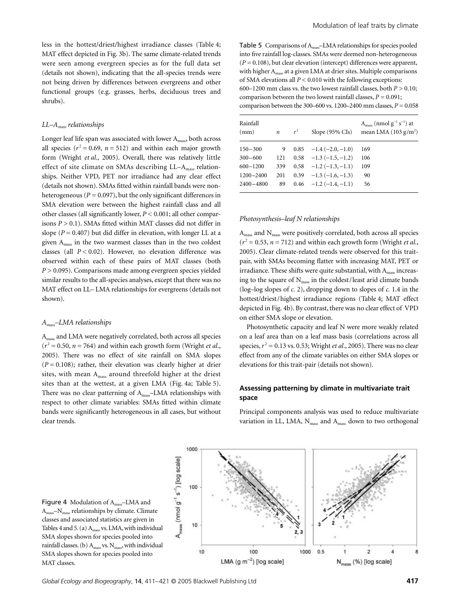less in the hottest/driest/highest irradiance classes (Table 4; MAT effect depicted in Fig. 3b). The same climate-related trends were seen among evergreen species as for the full data set (details not shown), indicating that the all-species trends were not being driven by differences between evergreens and other functional groups (e.g. grasses, herbs, deciduous trees and shrubs).

## *LL–Amass relationships*

Longer leaf life span was associated with lower  $A<sub>mass</sub>$ , both across all species  $(r^2 = 0.69, n = 512)$  and within each major growth form (Wright *et al*., 2005). Overall, there was relatively little effect of site climate on SMAs describing LL–A<sub>mass</sub> relationships. Neither VPD, PET nor irradiance had any clear effect (details not shown). SMAs fitted within rainfall bands were nonheterogeneous ( $P = 0.097$ ), but the only significant differences in SMA elevation were between the highest rainfall class and all other classes (all significantly lower, *P* < 0.001; all other comparisons *P* > 0.1). SMAs fitted within MAT classes did not differ in slope  $(P = 0.407)$  but did differ in elevation, with longer LL at a given  $A_{\text{mass}}$  in the two warmest classes than in the two coldest classes (all *P* < 0.02). However, no elevation difference was observed within each of these pairs of MAT classes (both *P* > 0.095). Comparisons made among evergreen species yielded similar results to the all-species analyses, except that there was no MAT effect on LL– LMA relationships for evergreens (details not shown).

#### *Amass–LMA relationships*

Amass and LMA were negatively correlated, both across all species  $(r^2 = 0.50, n = 764)$  and within each growth form (Wright *et al.*, 2005). There was no effect of site rainfall on SMA slopes  $(P = 0.108)$ ; rather, their elevation was clearly higher at drier sites, with mean A<sub>mass</sub> around threefold higher at the driest sites than at the wettest, at a given LMA (Fig. 4a; Table 5). There was no clear patterning of A<sub>mass</sub>-LMA relationships with respect to other climate variables: SMAs fitted within climate bands were significantly heterogeneous in all cases, but without clear trends.

Table 5 Comparisons of Amass–LMA relationships for species pooled into five rainfall log-classes. SMAs were deemed non-heterogeneous (*P =* 0.108), but clear elevation (intercept) differences were apparent, with higher  $A<sub>mass</sub>$  at a given LMA at drier sites. Multiple comparisons of SMA elevations all *P* < 0.010 with the following exceptions: 600–1200 mm class vs. the two lowest rainfall classes, both  $P > 0.10$ ; comparison between the two lowest rainfall classes,  $P = 0.091$ ; comparison between the 300–600 vs. 1200–2400 mm classes, *P* = 0.058

| Rainfall<br>(mm) | $\boldsymbol{n}$ | $r^2$ | Slope $(95\% \text{ Cls})$ | $Amass$ (nmol $g-1 s-1$ ) at<br>mean LMA $(103 \text{ g/m}^2)$ |
|------------------|------------------|-------|----------------------------|----------------------------------------------------------------|
| $150 - 300$      | 9                |       | $0.85 -1.4(-2.0,-1.0)$     | 169                                                            |
| $300 - 600$      | 121              |       | $0.58 -1.3(-1.5,-1.2)$     | 106                                                            |
| $600 - 1200$     | 339              |       | $0.58 -1.2(-1.3,-1.1)$     | 109                                                            |
| $1200 - 2400$    | 201              | 0.39  | $-1.5(-1.6,-1.3)$          | 90                                                             |
| $2400 - 4800$    | 89               |       | $0.46 -1.2(-1.4,-1.1)$     | 56                                                             |
|                  |                  |       |                            |                                                                |

## *Photosynthesis–leaf N relationships*

 $A<sub>mass</sub>$  and  $N<sub>mass</sub>$  were positively correlated, both across all species  $(r^2 = 0.53, n = 712)$  and within each growth form (Wright *et al.*, 2005). Clear climate-related trends were observed for this traitpair, with SMAs becoming flatter with increasing MAT, PET or irradiance. These shifts were quite substantial, with  $A<sub>mass</sub>$  increasing to the square of  $N_{\text{mass}}$  in the coldest/least arid climate bands (log–log slopes of *c.* 2), dropping down to slopes of *c.* 1.4 in the hottest/driest/highest irradiance regions (Table 4; MAT effect depicted in Fig. 4b). By contrast, there was no clear effect of VPD on either SMA slope or elevation.

Photosynthetic capacity and leaf N were more weakly related on a leaf area than on a leaf mass basis (correlations across all species,  $r^2 = 0.13$  vs. 0.53; Wright *et al.*, 2005). There was no clear effect from any of the climate variables on either SMA slopes or elevations for this trait-pair (details not shown).

# **Assessing patterning by climate in multivariate trait space**

Principal components analysis was used to reduce multivariate variation in LL, LMA,  $N_{mass}$  and  $A_{mass}$  down to two orthogonal

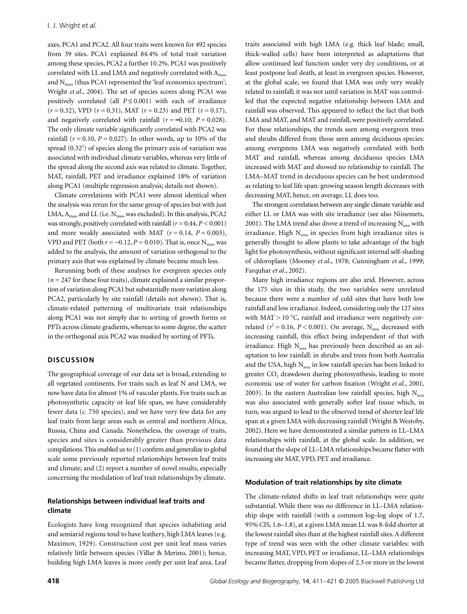axes, PCA1 and PCA2. All four traits were known for 492 species from 39 sites. PCA1 explained 84.4% of total trait variation among these species, PCA2 a further 10.2%. PCA1 was positively correlated with LL and LMA and negatively correlated with Amass and N<sub>mass</sub> (thus PCA1 represented the 'leaf economics spectrum'; Wright *et al*., 2004). The set of species scores along PCA1 was positively correlated (all  $P \leq 0.001$ ) with each of irradiance (*r =* 0.32), VPD (*r =* 0.31), MAT (*r =* 0.23) and PET (*r =* 0.17), and negatively correlated with rainfall  $(r = -0.10; P = 0.028)$ . The only climate variable significantly correlated with PCA2 was rainfall  $(r = 0.10, P = 0.027)$ . In other words, up to 10% of the spread  $(0.32<sup>2</sup>)$  of species along the primary axis of variation was associated with individual climate variables, whereas very little of the spread along the second axis was related to climate. Together, MAT, rainfall, PET and irradiance explained 18% of variation along PCA1 (multiple regression analysis; details not shown).

Climate correlations with PCA1 were almost identical when the analysis was rerun for the same group of species but with just LMA,  $A_{mass}$  and LL (i.e.  $N_{mass}$  was excluded). In this analysis, PCA2 was strongly, positively correlated with rainfall (*r =* 0.44, *P* < 0.001) and more weakly associated with MAT  $(r = 0.14, P = 0.003)$ , VPD and PET (both  $r = -0.12$ ,  $P = 0.010$ ). That is, once N<sub>mass</sub> was added to the analysis, the amount of variation orthogonal to the primary axis that was explained by climate became much less.

Rerunning both of these analyses for evergreen species only  $(n = 247$  for these four traits), climate explained a similar proportion of variation along PCA1 but substantially more variation along PCA2, particularly by site rainfall (details not shown). That is, climate-related patterning of multivariate trait relationships along PCA1 was not simply due to sorting of growth forms or PFTs across climate gradients, whereas to some degree, the scatter in the orthogonal axis PCA2 was masked by sorting of PFTs.

## **DISCUSSION**

The geographical coverage of our data set is broad, extending to all vegetated continents. For traits such as leaf N and LMA, we now have data for almost 1% of vascular plants. For traits such as photosynthetic capacity or leaf life span, we have considerably fewer data (*c.* 750 species), and we have very few data for any leaf traits from large areas such as central and northern Africa, Russia, China and Canada. Nonetheless, the coverage of traits, species and sites is considerably greater than previous data compilations. This enabled us to (1) confirm and generalize to global scale some previously reported relationships between leaf traits and climate; and (2) report a number of novel results, especially concerning the modulation of leaf trait relationships by climate.

# **Relationships between individual leaf traits and climate**

Ecologists have long recognized that species inhabiting arid and semiarid regions tend to have leathery, high LMA leaves (e.g. Maximov, 1929). Construction cost per unit leaf mass varies relatively little between species (Villar & Merino, 2001); hence, building high LMA leaves is more costly per unit leaf area. Leaf

traits associated with high LMA (e.g. thick leaf blade; small, thick-walled cells) have been interpreted as adaptations that allow continued leaf function under very dry conditions, or at least postpone leaf death, at least in evergreen species. However, at the global scale, we found that LMA was only very weakly related to rainfall; it was not until variation in MAT was controlled that the expected negative relationship between LMA and rainfall was observed. This appeared to reflect the fact that both LMA and MAT, and MAT and rainfall, were positively correlated. For these relationships, the trends seen among evergreen trees and shrubs differed from those seen among deciduous species: among evergreens LMA was negatively correlated with both MAT and rainfall, whereas among deciduous species LMA increased with MAT and showed no relationship to rainfall. The LMA–MAT trend in deciduous species can be best understood as relating to leaf life span: growing season length decreases with decreasing MAT, hence, on average, LL does too.

The strongest correlation between any single climate variable and either LL or LMA was with site irradiance (see also Niinemets, 2001). The LMA trend also drove a trend of increasing  $N_{area}$  with irradiance. High  $N_{area}$  in species from high irradiance sites is generally thought to allow plants to take advantage of the high light for photosynthesis, without significant internal self-shading of chloroplasts (Mooney *et al*., 1978; Cunningham *et al*., 1999; Farquhar *et al*., 2002).

Many high irradiance regions are also arid. However, across the 175 sites in this study, the two variables were unrelated because there were a number of cold sites that have both low rainfall and low irradiance. Indeed, considering only the 127 sites with  $MAT > 10 °C$ , rainfall and irradiance were negatively correlated ( $r^2 = 0.16$ ,  $P < 0.001$ ). On average, N<sub>area</sub> decreased with increasing rainfall, this effect being independent of that with irradiance. High  $N_{area}$  has previously been described as an adaptation to low rainfall: in shrubs and trees from both Australia and the USA, high  $N_{area}$  in low rainfall species has been linked to greater CO<sub>2</sub> drawdown during photosynthesis, leading to more economic use of water for carbon fixation (Wright *et al*., 2001, 2003). In the eastern Australian low rainfall species, high  $N_{area}$ was also associated with generally softer leaf tissue which, in turn, was argued to lead to the observed trend of shorter leaf life span at a given LMA with decreasing rainfall (Wright & Westoby, 2002). Here we have demonstrated a similar pattern in LL–LMA relationships with rainfall, at the global scale. In addition, we found that the slope of LL–LMA relationships became flatter with increasing site MAT, VPD, PET and irradiance.

#### **Modulation of trait relationships by site climate**

The climate-related shifts in leaf trait relationships were quite substantial. While there was no difference in LL–LMA relationship slope with rainfall (with a common log–log slope of 1.7, 95% CIS, 1.6–1.8), at a given LMA mean LL was 8-fold shorter at the lowest rainfall sites than at the highest rainfall sites. A different type of trend was seen with the other climate variables: with increasing MAT, VPD, PET or irradiance, LL–LMA relationships became flatter, dropping from slopes of 2.3 or more in the lowest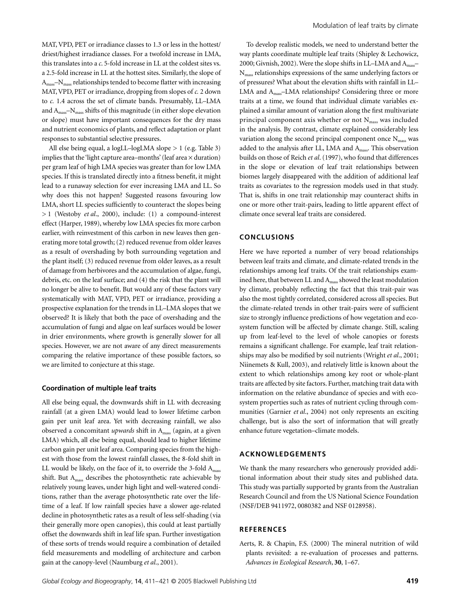MAT, VPD, PET or irradiance classes to 1.3 or less in the hottest/ driest/highest irradiance classes. For a twofold increase in LMA, this translates into a *c*. 5-fold increase in LL at the coldest sites vs. a 2.5-fold increase in LL at the hottest sites. Similarly, the slope of Amass–Nmass relationships tended to become flatter with increasing MAT, VPD, PET or irradiance, dropping from slopes of *c.* 2 down to *c.* 1.4 across the set of climate bands. Presumably, LL–LMA and  $A_{\text{mass}}-N_{\text{mass}}$  shifts of this magnitude (in either slope elevation or slope) must have important consequences for the dry mass and nutrient economics of plants, and reflect adaptation or plant responses to substantial selective pressures.

All else being equal, a logLL–logLMA slope > 1 (e.g. Table 3) implies that the 'light capture area–months' (leaf area  $\times$  duration) per gram leaf of high LMA species was greater than for low LMA species. If this is translated directly into a fitness benefit, it might lead to a runaway selection for ever increasing LMA and LL. So why does this not happen? Suggested reasons favouring low LMA, short LL species sufficiently to counteract the slopes being > 1 (Westoby *et al*., 2000), include: (1) a compound-interest effect (Harper, 1989), whereby low LMA species fix more carbon earlier, with reinvestment of this carbon in new leaves then generating more total growth; (2) reduced revenue from older leaves as a result of overshading by both surrounding vegetation and the plant itself; (3) reduced revenue from older leaves, as a result of damage from herbivores and the accumulation of algae, fungi, debris, etc. on the leaf surface; and (4) the risk that the plant will no longer be alive to benefit. But would any of these factors vary systematically with MAT, VPD, PET or irradiance, providing a prospective explanation for the trends in LL–LMA slopes that we observed? It is likely that both the pace of overshading and the accumulation of fungi and algae on leaf surfaces would be lower in drier environments, where growth is generally slower for all species. However, we are not aware of any direct measurements comparing the relative importance of these possible factors, so we are limited to conjecture at this stage.

#### **Coordination of multiple leaf traits**

All else being equal, the downwards shift in LL with decreasing rainfall (at a given LMA) would lead to lower lifetime carbon gain per unit leaf area. Yet with decreasing rainfall, we also observed a concomitant *upwards* shift in Amass (again, at a given LMA) which, all else being equal, should lead to higher lifetime carbon gain per unit leaf area. Comparing species from the highest with those from the lowest rainfall classes, the 8-fold shift in LL would be likely, on the face of it, to override the 3-fold  $A<sub>mass</sub>$ shift. But  $A<sub>mass</sub>$  describes the photosynthetic rate achievable by relatively young leaves, under high light and well-watered conditions, rather than the average photosynthetic rate over the lifetime of a leaf. If low rainfall species have a slower age-related decline in photosynthetic rates as a result of less self-shading (via their generally more open canopies), this could at least partially offset the downwards shift in leaf life span. Further investigation of these sorts of trends would require a combination of detailed field measurements and modelling of architecture and carbon gain at the canopy-level (Naumburg *et al*., 2001).

To develop realistic models, we need to understand better the way plants coordinate multiple leaf traits (Shipley & Lechowicz, 2000; Givnish, 2002). Were the slope shifts in LL–LMA and A<sub>mass</sub>– Nmass relationships expressions of the same underlying factors or of pressures? What about the elevation shifts with rainfall in LL– LMA and A<sub>mass</sub>–LMA relationships? Considering three or more traits at a time, we found that individual climate variables explained a similar amount of variation along the first multivariate principal component axis whether or not N<sub>mass</sub> was included in the analysis. By contrast, climate explained considerably less variation along the second principal component once  $N_{\rm mass}$  was added to the analysis after LL, LMA and Amass. This observation builds on those of Reich *et al*. (1997), who found that differences in the slope or elevation of leaf trait relationships between biomes largely disappeared with the addition of additional leaf traits as covariates to the regression models used in that study. That is, shifts in one trait relationship may counteract shifts in one or more other trait-pairs, leading to little apparent effect of climate once several leaf traits are considered.

#### **CONCLUSIONS**

Here we have reported a number of very broad relationships between leaf traits and climate, and climate-related trends in the relationships among leaf traits. Of the trait relationships examined here, that between LL and A<sub>mass</sub> showed the least modulation by climate, probably reflecting the fact that this trait-pair was also the most tightly correlated, considered across all species. But the climate-related trends in other trait-pairs were of sufficient size to strongly influence predictions of how vegetation and ecosystem function will be affected by climate change. Still, scaling up from leaf-level to the level of whole canopies or forests remains a significant challenge. For example, leaf trait relationships may also be modified by soil nutrients (Wright *et al*., 2001; Niinemets & Kull, 2003), and relatively little is known about the extent to which relationships among key root or whole-plant traits are affected by site factors. Further, matching trait data with information on the relative abundance of species and with ecosystem properties such as rates of nutrient cycling through communities (Garnier *et al*., 2004) not only represents an exciting challenge, but is also the sort of information that will greatly enhance future vegetation–climate models.

# **ACKNOWLEDGEMENTS**

We thank the many researchers who generously provided additional information about their study sites and published data. This study was partially supported by grants from the Australian Research Council and from the US National Science Foundation (NSF/DEB 9411972, 0080382 and NSF 0128958).

#### **REFERENCES**

Aerts, R. & Chapin, F.S. (2000) The mineral nutrition of wild plants revisited: a re-evaluation of processes and patterns. *Advances in Ecological Research*, **30**, 1–67.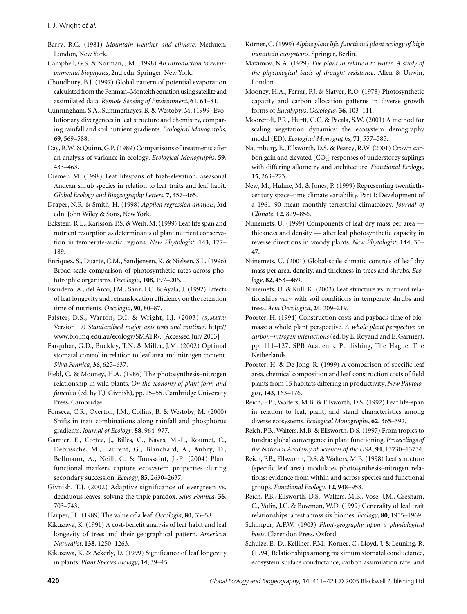Barry, R.G. (1981) *Mountain weather and climate*. Methuen, London, New York.

Campbell, G.S. & Norman, J.M. (1998) *An introduction to environmental biophysics*, 2nd edn. Springer, New York.

Choudhury, B.J. (1997) Global pattern of potential evaporation calculated from the Penman–Monteith equation using satellite and assimilated data. *Remote Sensing of Environment*, **61**, 64–81.

Cunningham, S.A., Summerhayes, B. & Westoby, M. (1999) Evolutionary divergences in leaf structure and chemistry, comparing rainfall and soil nutrient gradients. *Ecological Monographs*, **69**, 569–588.

Day, R.W. & Quinn, G.P. (1989) Comparisons of treatments after an analysis of variance in ecology. *Ecological Monographs*, **59**, 433–463.

Diemer, M. (1998) Leaf lifespans of high-elevation, aseasonal Andean shrub species in relation to leaf traits and leaf habit. *Global Ecology and Biogeography Letters*, **7**, 457–465.

Draper, N.R. & Smith, H. (1998) *Applied regression analysis*, 3rd edn. John Wiley & Sons, New York.

Eckstein, R.L., Karlsson, P.S. & Weih, M. (1999) Leaf life span and nutrient resorption as determinants of plant nutrient conservation in temperate-arctic regions. *New Phytologist*, **143**, 177– 189.

Enriquez, S., Duarte, C.M., Sandjensen, K. & Nielsen, S.L. (1996) Broad-scale comparison of photosynthetic rates across phototrophic organisms. *Oecologia*, **108**, 197–206.

Escudero, A., del Arco, J.M., Sanz, I.C. & Ayala, J. (1992) Effects of leaf longevity and retranslocation efficiency on the retention time of nutrients. *Oecologia*, **90**, 80–87.

Falster, D.S., Warton, D.I. & Wright, I.J. (2003) *(S)MATR:* Version 1.0 *Standardised major axis tests and routines.* <http://> www.bio.mq.edu.au/ecology/SMATR/. [Accessed July 2003]

Farquhar, G.D., Buckley, T.N. & Miller, J.M. (2002) Optimal stomatal control in relation to leaf area and nitrogen content. *Silva Fennica*, **36**, 625–637.

Field, C. & Mooney, H.A. (1986) The photosynthesis–nitrogen relationship in wild plants. *On the economy of plant form and function* (ed. by T.J. Givnish), pp. 25–55. Cambridge University Press, Cambridge.

Fonseca, C.R., Overton, J.M., Collins, B. & Westoby, M. (2000) Shifts in trait combinations along rainfall and phosphorus gradients. *Journal of Ecology*, **88**, 964–977.

Garnier, E., Cortez, J., Billès, G., Navas, M.-L., Roumet, C., Debussche, M., Laurent, G., Blanchard, A., Aubry, D., Bellmann, A., Neill, C. & Toussaint, J.-P. (2004) Plant functional markers capture ecosystem properties during secondary succession. *Ecology*, **85**, 2630–2637.

Givnish, T.J. (2002) Adaptive significance of evergreen vs. deciduous leaves: solving the triple paradox. *Silva Fennica*, **36**, 703–743.

Harper, J.L. (1989) The value of a leaf. *Oecologia*, **80**, 53–58.

Kikuzawa, K. (1991) A cost-benefit analysis of leaf habit and leaf longevity of trees and their geographical pattern. *American Naturalist*, **138**, 1250–1263.

Kikuzawa, K. & Ackerly, D. (1999) Significance of leaf longevity in plants. *Plant Species Biology*, **14**, 39–45.

Körner, C. (1999) *Alpine plant life: functional plant ecology of high mountain ecosystems*. Springer, Berlin.

Maximov, N.A. (1929) *The plant in relation to water. A study of the physiological basis of drought resistance*. Allen & Unwin, London.

Mooney, H.A., Ferrar, P.J. & Slatyer, R.O. (1978) Photosynthetic capacity and carbon allocation patterns in diverse growth forms of *Eucalyptus*. *Oecologia*, **36**, 103–111.

Moorcroft, P.R., Hurtt, G.C. & Pacala, S.W. (2001) A method for scaling vegetation dynamics: the ecosystem demography model (ED). *Ecological Monographs*, **71**, 557–585.

Naumburg, E., Ellsworth, D.S. & Pearcy, R.W. (2001) Crown carbon gain and elevated  $[CO<sub>2</sub>]$  responses of understorey saplings with differing allometry and architecture. *Functional Ecology*, **15**, 263–273.

New, M., Hulme, M. & Jones, P. (1999) Representing twentiethcentury space–time climate variability. Part I: Development of a 1961–90 mean monthly terrestrial climatology. *Journal of Climate*, **12**, 829–856.

Niinemets, U. (1999) Components of leaf dry mass per area thickness and density — alter leaf photosynthetic capacity in reverse directions in woody plants. *New Phytologist*, **144**, 35– 47.

Niinemets, U. (2001) Global-scale climatic controls of leaf dry mass per area, density, and thickness in trees and shrubs. *Ecology*, **82**, 453–469.

Niinemets, U. & Kull, K. (2003) Leaf structure vs. nutrient relationships vary with soil conditions in temperate shrubs and trees. *Acta Oecologica*, **24**, 209–219.

Poorter, H. (1994) Construction costs and payback time of biomass: a whole plant perspective. *A whole plant perspective on carbon–nitrogen interactions*(ed. by E. Royand and E. Garnier), pp. 111–127. SPB Academic Publishing, The Hague, The Netherlands.

Poorter, H. & De Jong, R. (1999) A comparison of specific leaf area, chemical composition and leaf construction costs of field plants from 15 habitats differing in productivity. *New Phytologist*, **143**, 163–176.

Reich, P.B., Walters, M.B. & Ellsworth, D.S. (1992) Leaf life-span in relation to leaf, plant, and stand characteristics among diverse ecosystems. *Ecological Monographs*, **62**, 365–392.

Reich, P.B., Walters, M.B. & Ellsworth, D.S. (1997) From tropics to tundra: global convergence in plant functioning. *Proceedings of the National Academy of Sciences of the USA*, **94**, 13730–13734.

Reich, P.B., Ellsworth, D.S. & Walters, M.B. (1998) Leaf structure (specific leaf area) modulates photosynthesis–nitrogen relations: evidence from within and across species and functional groups. *Functional Ecology*, **12**, 948–958.

Reich, P.B., Ellsworth, D.S., Walters, M.B., Vose, J.M., Gresham, C., Volin, J.C. & Bowman, W.D. (1999) Generality of leaf trait relationships: a test across six biomes. *Ecology*, **80**, 1955–1969.

Schimper, A.F.W. (1903) *Plant-geography upon a physiological basis*. Clarendon Press, Oxford.

Schulze, E.-D., Kelliher, F.M., Körner, C., Lloyd, J. & Leuning, R. (1994) Relationships among maximum stomatal conductance, ecosystem surface conductance, carbon assimilation rate, and